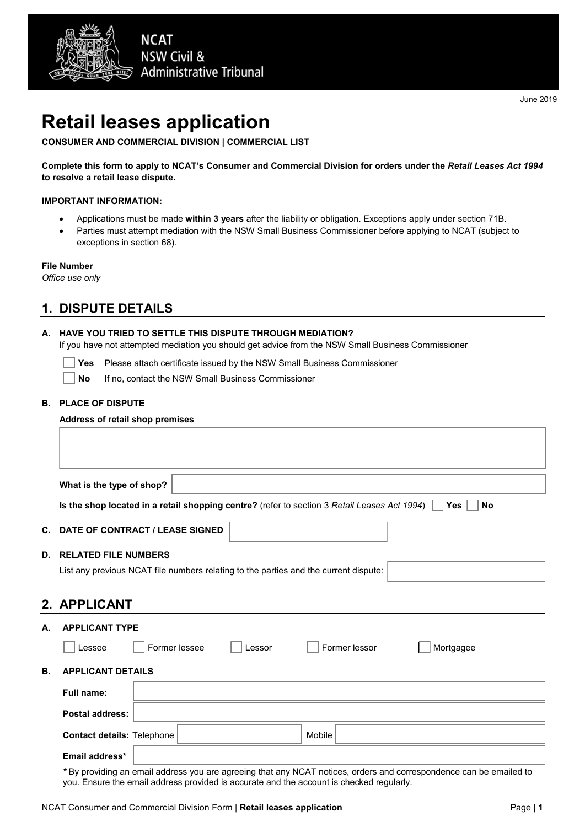

# **Retail leases application**

**CONSUMER AND COMMERCIAL DIVISION | COMMERCIAL LIST** 

**Complete this form to apply to NCAT's Consumer and Commercial Division for orders under the** *Retail Leases Act 1994* **to resolve a retail lease dispute.**

#### **IMPORTANT INFORMATION:**

- Applications must be made **within 3 years** after the liability or obligation. Exceptions apply under section 71B.
- Parties must attempt mediation with the NSW Small Business Commissioner before applying to NCAT (subject to exceptions in section 68).

#### **File Number**

*Office use only*

# **1. DISPUTE DETAILS**

#### **A. HAVE YOU TRIED TO SETTLE THIS DISPUTE THROUGH MEDIATION?**

If you have not attempted mediation you should get advice from the NSW Small Business Commissioner

**Yes** Please attach certificate issued by the NSW Small Business Commissioner

| No<br>If no, contact the NSW Small Business Commissioner |  |
|----------------------------------------------------------|--|
|----------------------------------------------------------|--|

#### **B. PLACE OF DISPUTE**

|    | Address of retail shop premises                                                                                     |  |  |  |  |
|----|---------------------------------------------------------------------------------------------------------------------|--|--|--|--|
|    |                                                                                                                     |  |  |  |  |
|    |                                                                                                                     |  |  |  |  |
|    |                                                                                                                     |  |  |  |  |
|    | What is the type of shop?                                                                                           |  |  |  |  |
|    | Is the shop located in a retail shopping centre? (refer to section 3 Retail Leases Act 1994)<br>Yes  <br><b>No</b>  |  |  |  |  |
| C. | DATE OF CONTRACT / LEASE SIGNED                                                                                     |  |  |  |  |
|    |                                                                                                                     |  |  |  |  |
|    | <b>D. RELATED FILE NUMBERS</b>                                                                                      |  |  |  |  |
|    | List any previous NCAT file numbers relating to the parties and the current dispute:                                |  |  |  |  |
|    |                                                                                                                     |  |  |  |  |
|    | 2. APPLICANT                                                                                                        |  |  |  |  |
| А. | <b>APPLICANT TYPE</b>                                                                                               |  |  |  |  |
|    | Former lessee<br>Former lessor<br>Mortgagee<br>Lessee<br>Lessor                                                     |  |  |  |  |
| В. | <b>APPLICANT DETAILS</b>                                                                                            |  |  |  |  |
|    | <b>Full name:</b>                                                                                                   |  |  |  |  |
|    | <b>Postal address:</b>                                                                                              |  |  |  |  |
|    | <b>Contact details: Telephone</b><br>Mobile                                                                         |  |  |  |  |
|    | Email address*                                                                                                      |  |  |  |  |
|    | * By providing an email address you are agreeing that any NCAT notices, orders and correspondence can be emailed to |  |  |  |  |

NCAT Consumer and Commercial Division Form | **Retail leases application** Page | **1** Page | **1** 

you. Ensure the email address provided is accurate and the account is checked regularly.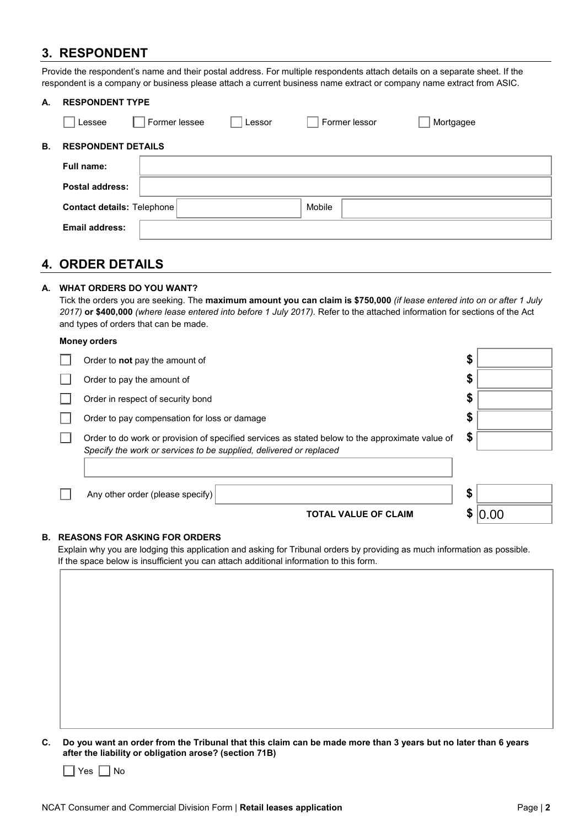# **3. RESPONDENT**

Provide the respondent's name and their postal address. For multiple respondents attach details on a separate sheet. If the respondent is a company or business please attach a current business name extract or company name extract from ASIC.

| А. | <b>RESPONDENT TYPE</b>            |               |        |               |           |
|----|-----------------------------------|---------------|--------|---------------|-----------|
|    | Lessee                            | Former lessee | Lessor | Former lessor | Mortgagee |
| В. | <b>RESPONDENT DETAILS</b>         |               |        |               |           |
|    | Full name:                        |               |        |               |           |
|    | Postal address:                   |               |        |               |           |
|    | <b>Contact details: Telephone</b> |               |        | Mobile        |           |
|    | <b>Email address:</b>             |               |        |               |           |
|    |                                   |               |        |               |           |

# **4. ORDER DETAILS**

### **A. WHAT ORDERS DO YOU WANT?**

Tick the orders you are seeking. The **maximum amount you can claim is \$750,000** *(if lease entered into on or after 1 July 2017)* **or \$400,000** *(where lease entered into before 1 July 2017).* Refer to the attached information for sections of the Act and types of orders that can be made.

#### **Money orders**

| Order to <b>not</b> pay the amount of                                                                                                                                 | \$ |
|-----------------------------------------------------------------------------------------------------------------------------------------------------------------------|----|
| Order to pay the amount of                                                                                                                                            | \$ |
| Order in respect of security bond                                                                                                                                     | \$ |
| Order to pay compensation for loss or damage                                                                                                                          | \$ |
| Order to do work or provision of specified services as stated below to the approximate value of<br>Specify the work or services to be supplied, delivered or replaced | \$ |
| Any other order (please specify)                                                                                                                                      | \$ |
| <b>TOTAL VALUE OF CLAIM</b>                                                                                                                                           |    |

#### **B. REASONS FOR ASKING FOR ORDERS**

Explain why you are lodging this application and asking for Tribunal orders by providing as much information as possible. If the space below is insufficient you can attach additional information to this form.

**C. Do you want an order from the Tribunal that this claim can be made more than 3 years but no later than 6 years after the liability or obligation arose? (section 71B)** 

 $\Box$  Yes  $\Box$  No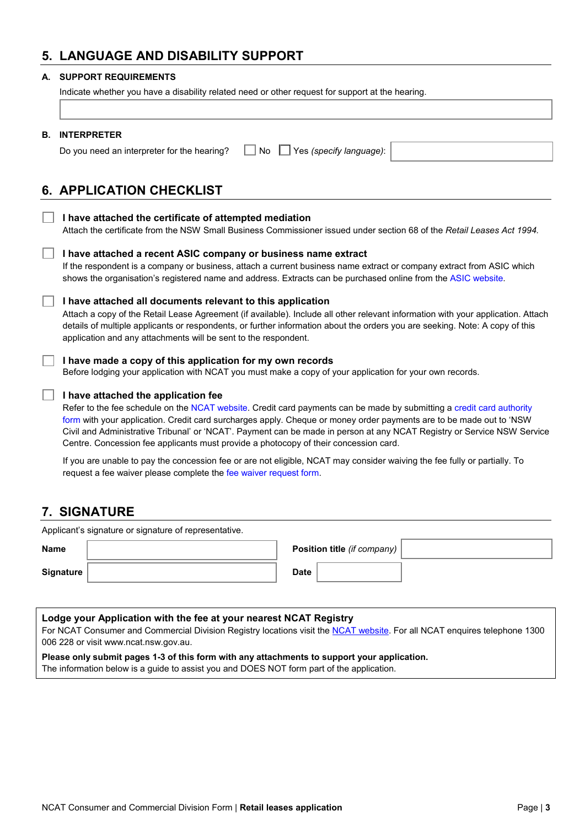# **5. LANGUAGE AND DISABILITY SUPPORT**

#### **A. SUPPORT REQUIREMENTS**

I

|  | Indicate whether you have a disability related need or other request for support at the hearing. |  |
|--|--------------------------------------------------------------------------------------------------|--|
|  |                                                                                                  |  |
|  |                                                                                                  |  |

| В. | <b>INTERPRETER</b><br>Yes (specify language):<br>Do you need an interpreter for the hearing?<br>No                                                                                                                                                                                                                                                                                                                                                                                                     |
|----|--------------------------------------------------------------------------------------------------------------------------------------------------------------------------------------------------------------------------------------------------------------------------------------------------------------------------------------------------------------------------------------------------------------------------------------------------------------------------------------------------------|
|    | <b>6. APPLICATION CHECKLIST</b>                                                                                                                                                                                                                                                                                                                                                                                                                                                                        |
|    | I have attached the certificate of attempted mediation<br>Attach the certificate from the NSW Small Business Commissioner issued under section 68 of the Retail Leases Act 1994.                                                                                                                                                                                                                                                                                                                       |
|    | I have attached a recent ASIC company or business name extract<br>If the respondent is a company or business, attach a current business name extract or company extract from ASIC which<br>shows the organisation's registered name and address. Extracts can be purchased online from the ASIC website.                                                                                                                                                                                               |
|    | I have attached all documents relevant to this application<br>Attach a copy of the Retail Lease Agreement (if available). Include all other relevant information with your application. Attach<br>details of multiple applicants or respondents, or further information about the orders you are seeking. Note: A copy of this<br>application and any attachments will be sent to the respondent.                                                                                                      |
|    | I have made a copy of this application for my own records<br>Before lodging your application with NCAT you must make a copy of your application for your own records.                                                                                                                                                                                                                                                                                                                                  |
|    | I have attached the application fee<br>Refer to the fee schedule on the NCAT website. Credit card payments can be made by submitting a credit card authority<br>form with your application. Credit card surcharges apply. Cheque or money order payments are to be made out to 'NSW<br>Civil and Administrative Tribunal' or 'NCAT'. Payment can be made in person at any NCAT Registry or Service NSW Service<br>Centre. Concession fee applicants must provide a photocopy of their concession card. |

If you are unable to pay the concession fee or are not eligible, NCAT may consider waiving the fee fully or partially. To request a fee waiver please complete th[e fee waiver request form.](http://www.ncat.nsw.gov.au/Documents/ncat_form_fee_waiver_request.pdf)

# **7. SIGNATURE**

| Applicant's signature or signature of representative. |  |             |                                    |  |
|-------------------------------------------------------|--|-------------|------------------------------------|--|
| <b>Name</b>                                           |  |             | <b>Position title (if company)</b> |  |
| <b>Signature</b>                                      |  | <b>Date</b> |                                    |  |

| Lodge your Application with the fee at your nearest NCAT Registry                                                         |
|---------------------------------------------------------------------------------------------------------------------------|
| For NCAT Consumer and Commercial Division Registry locations visit the NCAT website. For all NCAT enquires telephone 1300 |
| 006 228 or visit www.ncat.nsw.gov.au.                                                                                     |
| Please only submit pages 1-3 of this form with any attachments to support your application.                               |
|                                                                                                                           |

The information below is a guide to assist you and DOES NOT form part of the application.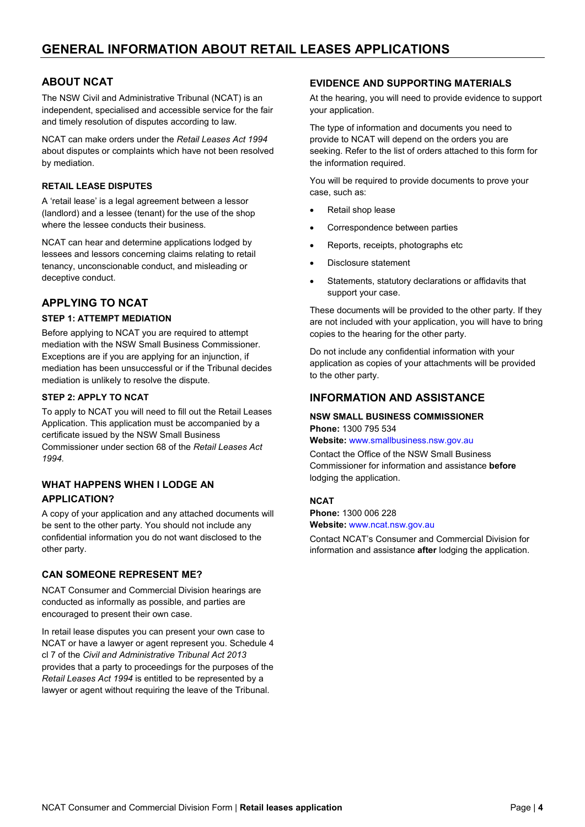# **ABOUT NCAT**

The NSW Civil and Administrative Tribunal (NCAT) is an independent, specialised and accessible service for the fair and timely resolution of disputes according to law.

NCAT can make orders under the *Retail Leases Act 1994* about disputes or complaints which have not been resolved by mediation.

#### **RETAIL LEASE DISPUTES**

A 'retail lease' is a legal agreement between a lessor (landlord) and a lessee (tenant) for the use of the shop where the lessee conducts their business.

NCAT can hear and determine applications lodged by lessees and lessors concerning claims relating to retail tenancy, unconscionable conduct, and misleading or deceptive conduct.

## **APPLYING TO NCAT**

#### **STEP 1: ATTEMPT MEDIATION**

Before applying to NCAT you are required to attempt mediation with the NSW Small Business Commissioner. Exceptions are if you are applying for an injunction, if mediation has been unsuccessful or if the Tribunal decides mediation is unlikely to resolve the dispute.

#### **STEP 2: APPLY TO NCAT**

To apply to NCAT you will need to fill out the Retail Leases Application. This application must be accompanied by a certificate issued by the NSW Small Business Commissioner under section 68 of the *Retail Leases Act 1994.* 

## **WHAT HAPPENS WHEN I LODGE AN APPLICATION?**

A copy of your application and any attached documents will be sent to the other party. You should not include any confidential information you do not want disclosed to the other party.

#### **CAN SOMEONE REPRESENT ME?**

NCAT Consumer and Commercial Division hearings are conducted as informally as possible, and parties are encouraged to present their own case.

In retail lease disputes you can present your own case to NCAT or have a lawyer or agent represent you. Schedule 4 cl 7 of the *Civil and Administrative Tribunal Act 2013* provides that a party to proceedings for the purposes of the *Retail Leases Act 1994* is entitled to be represented by a lawyer or agent without requiring the leave of the Tribunal.

#### **EVIDENCE AND SUPPORTING MATERIALS**

At the hearing, you will need to provide evidence to support your application.

The type of information and documents you need to provide to NCAT will depend on the orders you are seeking. Refer to the list of orders attached to this form for the information required.

You will be required to provide documents to prove your case, such as:

- Retail shop lease
- Correspondence between parties
- Reports, receipts, photographs etc
- Disclosure statement
- Statements, statutory declarations or affidavits that support your case.

These documents will be provided to the other party. If they are not included with your application, you will have to bring copies to the hearing for the other party.

Do not include any confidential information with your application as copies of your attachments will be provided to the other party.

## **INFORMATION AND ASSISTANCE**

## **NSW SMALL BUSINESS COMMISSIONER Phone:** 1300 795 534

**Website:** [www.smallbusiness.nsw.gov.au](http://www.smallbusiness.nsw.gov.au/)

Contact the Office of the NSW Small Business Commissioner for information and assistance **before** lodging the application.

#### **NCAT**

**Phone:** 1300 006 228 **Website:** [www.ncat.nsw.gov.au](http://www.ncat.nsw.gov.au/) 

Contact NCAT's Consumer and Commercial Division for information and assistance **after** lodging the application.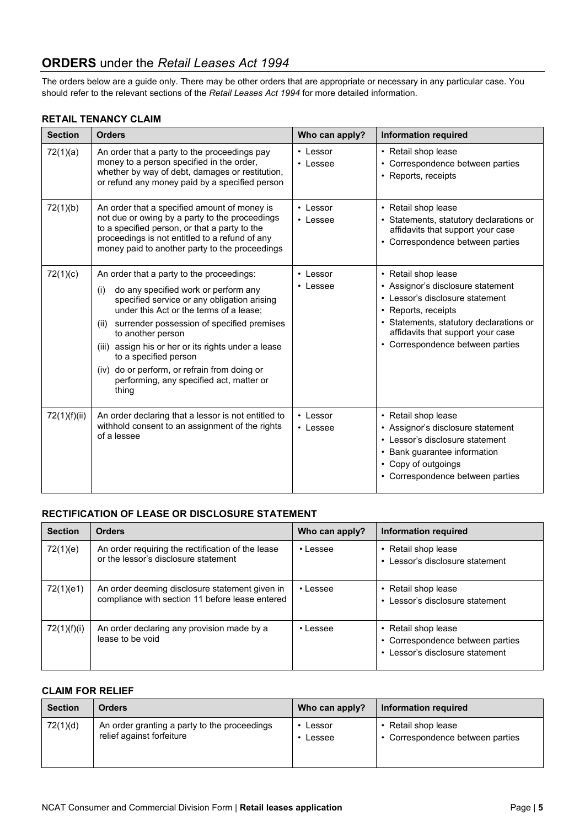# **ORDERS** under the *Retail Leases Act 1994*

The orders below are a guide only. There may be other orders that are appropriate or necessary in any particular case. You should refer to the relevant sections of the *Retail Leases Act 1994* for more detailed information.

#### **RETAIL TENANCY CLAIM**

| <b>Section</b> | <b>Orders</b>                                                                                                                                                                                                                                                                                                                                                                                                                                      | Who can apply?             | <b>Information required</b>                                                                                                                                                                                                            |
|----------------|----------------------------------------------------------------------------------------------------------------------------------------------------------------------------------------------------------------------------------------------------------------------------------------------------------------------------------------------------------------------------------------------------------------------------------------------------|----------------------------|----------------------------------------------------------------------------------------------------------------------------------------------------------------------------------------------------------------------------------------|
| 72(1)(a)       | An order that a party to the proceedings pay<br>money to a person specified in the order,<br>whether by way of debt, damages or restitution,<br>or refund any money paid by a specified person                                                                                                                                                                                                                                                     | $\cdot$ Lessor<br>• Lessee | • Retail shop lease<br>• Correspondence between parties<br>• Reports, receipts                                                                                                                                                         |
| 72(1)(b)       | An order that a specified amount of money is<br>not due or owing by a party to the proceedings<br>to a specified person, or that a party to the<br>proceedings is not entitled to a refund of any<br>money paid to another party to the proceedings                                                                                                                                                                                                | • Lessor<br>$\cdot$ Lessee | • Retail shop lease<br>• Statements, statutory declarations or<br>affidavits that support your case<br>• Correspondence between parties                                                                                                |
| 72(1)(c)       | An order that a party to the proceedings:<br>do any specified work or perform any<br>(i)<br>specified service or any obligation arising<br>under this Act or the terms of a lease;<br>surrender possession of specified premises<br>(ii)<br>to another person<br>(iii) assign his or her or its rights under a lease<br>to a specified person<br>(iv) do or perform, or refrain from doing or<br>performing, any specified act, matter or<br>thing | • Lessor<br>$\cdot$ Lessee | • Retail shop lease<br>• Assignor's disclosure statement<br>• Lessor's disclosure statement<br>• Reports, receipts<br>• Statements, statutory declarations or<br>affidavits that support your case<br>• Correspondence between parties |
| 72(1)(f)(ii)   | An order declaring that a lessor is not entitled to<br>withhold consent to an assignment of the rights<br>of a lessee                                                                                                                                                                                                                                                                                                                              | • Lessor<br>• Lessee       | • Retail shop lease<br>• Assignor's disclosure statement<br>• Lessor's disclosure statement<br>• Bank guarantee information<br>• Copy of outgoings<br>• Correspondence between parties                                                 |

# **RECTIFICATION OF LEASE OR DISCLOSURE STATEMENT**

| <b>Section</b> | <b>Orders</b>                                                                                     | Who can apply? | Information required                                                                       |
|----------------|---------------------------------------------------------------------------------------------------|----------------|--------------------------------------------------------------------------------------------|
| 72(1)(e)       | An order requiring the rectification of the lease<br>or the lessor's disclosure statement         | $\cdot$ Lessee | • Retail shop lease<br>• Lessor's disclosure statement                                     |
| 72(1)(e1)      | An order deeming disclosure statement given in<br>compliance with section 11 before lease entered | $\cdot$ Lessee | • Retail shop lease<br>• Lessor's disclosure statement                                     |
| 72(1)(f)(i)    | An order declaring any provision made by a<br>lease to be void                                    | $\cdot$ lessee | • Retail shop lease<br>• Correspondence between parties<br>• Lessor's disclosure statement |

#### **CLAIM FOR RELIEF**

| <b>Section</b> | <b>Orders</b>                                | Who can apply? | Information required             |
|----------------|----------------------------------------------|----------------|----------------------------------|
| 72(1)(d)       | An order granting a party to the proceedings | Lessor         | Retail shop lease                |
|                | relief against forfeiture                    | Lessee         | • Correspondence between parties |